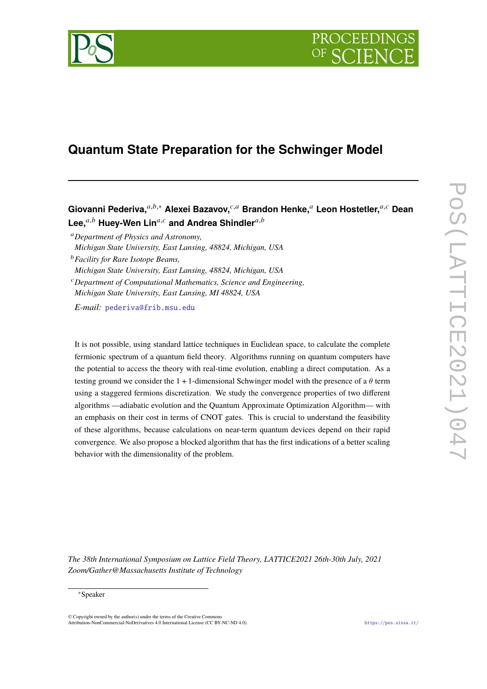

# **Quantum State Preparation for the Schwinger Model**

**Giovanni Pederiva,**𝑎,𝑏,<sup>∗</sup> **Alexei Bazavov,**𝑐,𝑎 **Brandon Henke,**<sup>𝑎</sup> **Leon Hostetler,**𝑎,𝑐 **Dean** Lee,<sup>*a,b*</sup> Huey-Wen Lin<sup>*a,c*</sup> and Andrea Shindler<sup>*a,b*</sup>

<sup>𝑎</sup>*Department of Physics and Astronomy, Michigan State University, East Lansing, 48824, Michigan, USA*

<sup>𝑏</sup>*Facility for Rare Isotope Beams,*

*Michigan State University, East Lansing, 48824, Michigan, USA*

<sup>𝑐</sup>*Department of Computational Mathematics, Science and Engineering,*

*Michigan State University, East Lansing, MI 48824, USA*

*E-mail:* [pederiva@frib.msu.edu](mailto:pederiva@frib.msu.edu)

It is not possible, using standard lattice techniques in Euclidean space, to calculate the complete fermionic spectrum of a quantum field theory. Algorithms running on quantum computers have the potential to access the theory with real-time evolution, enabling a direct computation. As a testing ground we consider the 1 + 1-dimensional Schwinger model with the presence of a  $\theta$  term using a staggered fermions discretization. We study the convergence properties of two different algorithms —adiabatic evolution and the Quantum Approximate Optimization Algorithm— with an emphasis on their cost in terms of CNOT gates. This is crucial to understand the feasibility of these algorithms, because calculations on near-term quantum devices depend on their rapid convergence. We also propose a blocked algorithm that has the first indications of a better scaling behavior with the dimensionality of the problem.

*The 38th International Symposium on Lattice Field Theory, LATTICE2021 26th-30th July, 2021 Zoom/Gather@Massachusetts Institute of Technology*

#### <sup>∗</sup>Speaker

 $\odot$  Copyright owned by the author(s) under the terms of the Creative Common Attribution-NonCommercial-NoDerivatives 4.0 International License (CC BY-NC-ND 4.0). <https://pos.sissa.it/>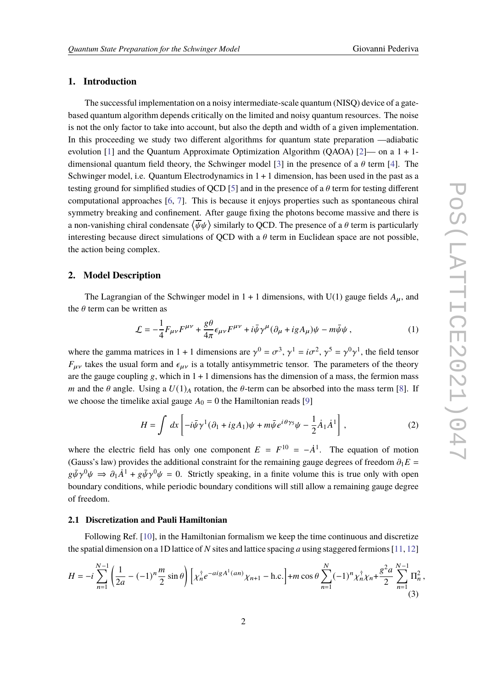## **1. Introduction**

The successful implementation on a noisy intermediate-scale quantum (NISQ) device of a gatebased quantum algorithm depends critically on the limited and noisy quantum resources. The noise is not the only factor to take into account, but also the depth and width of a given implementation. In this proceeding we study two different algorithms for quantum state preparation —adiabatic evolution [\[1\]](#page-7-0) and the Quantum Approximate Optimization Algorithm (QAOA) [\[2\]](#page-7-1)— on a  $1 + 1$ -dimensional quantum field theory, the Schwinger model [\[3\]](#page-7-2) in the presence of a  $\theta$  term [\[4\]](#page-7-3). The Schwinger model, i.e. Quantum Electrodynamics in  $1 + 1$  dimension, has been used in the past as a testing ground for simplified studies of QCD [\[5\]](#page-7-4) and in the presence of a  $\theta$  term for testing different computational approaches [\[6,](#page-7-5) [7\]](#page-7-6). This is because it enjoys properties such as spontaneous chiral symmetry breaking and confinement. After gauge fixing the photons become massive and there is a non-vanishing chiral condensate  $\langle \overline{\psi}\psi\rangle$  similarly to QCD. The presence of a  $\theta$  term is particularly interesting because direct simulations of QCD with a  $\theta$  term in Euclidean space are not possible, the action being complex.

## **2. Model Description**

The Lagrangian of the Schwinger model in  $1 + 1$  dimensions, with U(1) gauge fields  $A_{\mu}$ , and the  $\theta$  term can be written as

$$
\mathcal{L} = -\frac{1}{4}F_{\mu\nu}F^{\mu\nu} + \frac{g\theta}{4\pi}\epsilon_{\mu\nu}F^{\mu\nu} + i\bar{\psi}\gamma^{\mu}(\partial_{\mu} + igA_{\mu})\psi - m\bar{\psi}\psi,
$$
 (1)

where the gamma matrices in 1 + 1 dimensions are  $\gamma^0 = \sigma^3$ ,  $\gamma^1 = i\sigma^2$ ,  $\gamma^5 = \gamma^0\gamma^1$ , the field tensor  $F_{\mu\nu}$  takes the usual form and  $\epsilon_{\mu\nu}$  is a totally antisymmetric tensor. The parameters of the theory are the gauge coupling  $g$ , which in  $1 + 1$  dimensions has the dimension of a mass, the fermion mass m and the  $\theta$  angle. Using a  $U(1)_A$  rotation, the  $\theta$ -term can be absorbed into the mass term [\[8\]](#page-7-7). If we choose the timelike axial gauge  $A_0 = 0$  the Hamiltonian reads [\[9\]](#page-7-8)

$$
H = \int dx \left[ -i\bar{\psi}\gamma^1(\partial_1 + igA_1)\psi + m\bar{\psi}e^{i\theta\gamma_5}\psi - \frac{1}{2}\dot{A}_1\dot{A}^1 \right],
$$
 (2)

where the electric field has only one component  $E = F^{10} = -\dot{A}^{1}$ . The equation of motion (Gauss's law) provides the additional constraint for the remaining gauge degrees of freedom  $\partial_1 E =$  $g\bar{\psi}\gamma^0\psi \Rightarrow \partial_1\dot{A}^1 + g\bar{\psi}\gamma^0\psi = 0$ . Strictly speaking, in a finite volume this is true only with open boundary conditions, while periodic boundary conditions will still allow a remaining gauge degree of freedom.

#### **2.1 Discretization and Pauli Hamiltonian**

Following Ref. [\[10\]](#page-7-9), in the Hamiltonian formalism we keep the time continuous and discretize the spatial dimension on a 1D lattice of N sites and lattice spacing a using staggered fermions [\[11,](#page-7-10) [12\]](#page-7-11)

$$
H = -i\sum_{n=1}^{N-1} \left(\frac{1}{2a} - (-1)^n \frac{m}{2} \sin \theta\right) \left[\chi_n^{\dagger} e^{-a i g A^{\dagger}(an)} \chi_{n+1} - \text{h.c.}\right] + m \cos \theta \sum_{n=1}^{N} (-1)^n \chi_n^{\dagger} \chi_n + \frac{g^2 a}{2} \sum_{n=1}^{N-1} \Pi_n^2,
$$
\n(3)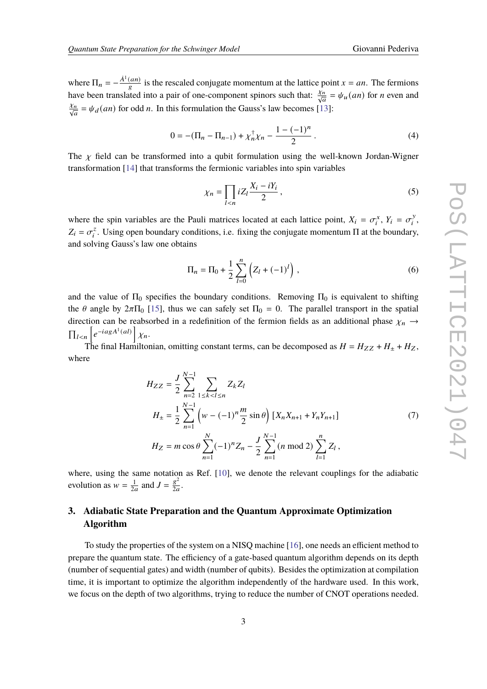where  $\Pi_n = -\frac{\dot{A}^T(an)}{g}$  is the rescaled conjugate momentum at the lattice point  $x = an$ . The fermions have been translated into a pair of one-component spinors such that:  $\frac{\chi_n}{\sqrt{a}} = \psi_u(an)$  for *n* even and  $\frac{\chi_n}{\sqrt{a}} = \psi_d(an)$  for odd *n*. In this formulation the Gauss's law becomes [\[13\]](#page-7-12):

$$
0 = -(\Pi_n - \Pi_{n-1}) + \chi_n^{\dagger} \chi_n - \frac{1 - (-1)^n}{2} \,. \tag{4}
$$

The  $\chi$  field can be transformed into a qubit formulation using the well-known Jordan-Wigner transformation [\[14\]](#page-7-13) that transforms the fermionic variables into spin variables

$$
\chi_n = \prod_{l < n} i Z_l \frac{X_i - iY_i}{2} \,,\tag{5}
$$

where the spin variables are the Pauli matrices located at each lattice point,  $X_i = \sigma_i^x$ ,  $Y_i = \sigma_i^y$  $\frac{y}{i}$ ,  $Z_i = \sigma_i^z$ <sup>2</sup>. Using open boundary conditions, i.e. fixing the conjugate momentum  $\Pi$  at the boundary, and solving Gauss's law one obtains

$$
\Pi_n = \Pi_0 + \frac{1}{2} \sum_{l=0}^n \left( Z_l + (-1)^l \right) , \qquad (6)
$$

and the value of  $\Pi_0$  specifies the boundary conditions. Removing  $\Pi_0$  is equivalent to shifting the  $\theta$  angle by  $2\pi\Pi_0$  [\[15\]](#page-8-0), thus we can safely set  $\Pi_0 = 0$ . The parallel transport in the spatial direction can be reabsorbed in a redefinition of the fermion fields as an additional phase  $\chi_n \rightarrow$  $\prod_{l \leq n} \left[ e^{-iagA^{l}(al)} \right] \chi_{n}.$ 

The final Hamiltonian, omitting constant terms, can be decomposed as  $H = H_{ZZ} + H_{+} + H_{Z}$ , where

$$
H_{ZZ} = \frac{J}{2} \sum_{n=2}^{N-1} \sum_{1 \le k < l \le n} Z_k Z_l
$$
\n
$$
H_{\pm} = \frac{1}{2} \sum_{n=1}^{N-1} \left( w - (-1)^n \frac{m}{2} \sin \theta \right) \left[ X_n X_{n+1} + Y_n Y_{n+1} \right]
$$
\n
$$
H_Z = m \cos \theta \sum_{n=1}^{N} (-1)^n Z_n - \frac{J}{2} \sum_{n=1}^{N-1} (n \mod 2) \sum_{l=1}^{n} Z_l,
$$
\n
$$
(7)
$$

where, using the same notation as Ref. [\[10\]](#page-7-9), we denote the relevant couplings for the adiabatic evolution as  $w = \frac{1}{2a}$  and  $J = \frac{g^2}{2a}$  $rac{g}{2a}$ .

## **3. Adiabatic State Preparation and the Quantum Approximate Optimization Algorithm**

To study the properties of the system on a NISQ machine [\[16\]](#page-8-1), one needs an efficient method to prepare the quantum state. The efficiency of a gate-based quantum algorithm depends on its depth (number of sequential gates) and width (number of qubits). Besides the optimization at compilation time, it is important to optimize the algorithm independently of the hardware used. In this work, we focus on the depth of two algorithms, trying to reduce the number of CNOT operations needed.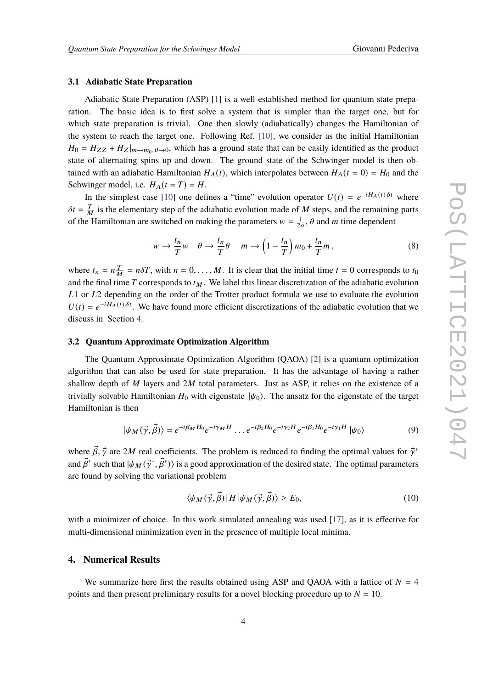#### **3.1 Adiabatic State Preparation**

Adiabatic State Preparation (ASP) [\[1\]](#page-7-0) is a well-established method for quantum state preparation. The basic idea is to first solve a system that is simpler than the target one, but for which state preparation is trivial. One then slowly (adiabatically) changes the Hamiltonian of the system to reach the target one. Following Ref. [\[10\]](#page-7-9), we consider as the initial Hamiltonian  $H_0 = H_{ZZ} + H_Z|_{m \to m_0, \theta \to 0}$ , which has a ground state that can be easily identified as the product state of alternating spins up and down. The ground state of the Schwinger model is then obtained with an adiabatic Hamiltonian  $H_A(t)$ , which interpolates between  $H_A(t = 0) = H_0$  and the Schwinger model, i.e.  $H_A(t = T) = H$ .

In the simplest case [\[10\]](#page-7-9) one defines a "time" evolution operator  $U(t) = e^{-iH_A(t)\delta t}$  where  $\delta t = \frac{T}{M}$  is the elementary step of the adiabatic evolution made of M steps, and the remaining parts of the Hamiltonian are switched on making the parameters  $w = \frac{1}{2a}$ ,  $\theta$  and m time dependent

<span id="page-3-1"></span>
$$
w \to \frac{t_n}{T} w \quad \theta \to \frac{t_n}{T} \theta \quad m \to \left(1 - \frac{t_n}{T}\right) m_0 + \frac{t_n}{T} m \,,\tag{8}
$$

where  $t_n = n \frac{T}{M} = n \delta T$ , with  $n = 0, ..., M$ . It is clear that the initial time  $t = 0$  corresponds to  $t_0$ and the final time  $T$  corresponds to  $t_M$ . We label this linear discretization of the adiabatic evolution  $L1$  or  $L2$  depending on the order of the Trotter product formula we use to evaluate the evolution  $U(t) = e^{-iH_A(t)\delta t}$ . We have found more efficient discretizations of the adiabatic evolution that we discuss in Section [4.](#page-3-0)

#### <span id="page-3-2"></span>**3.2 Quantum Approximate Optimization Algorithm**

The Quantum Approximate Optimization Algorithm (QAOA) [\[2\]](#page-7-1) is a quantum optimization algorithm that can also be used for state preparation. It has the advantage of having a rather shallow depth of  $M$  layers and  $2M$  total parameters. Just as ASP, it relies on the existence of a trivially solvable Hamiltonian  $H_0$  with eigenstate  $|\psi_0\rangle$ . The ansatz for the eigenstate of the target Hamiltonian is then

<span id="page-3-3"></span>
$$
|\psi_M(\vec{\gamma}, \vec{\beta})\rangle = e^{-i\beta_M H_0} e^{-i\gamma_M H} \dots e^{-i\beta_2 H_0} e^{-i\gamma_2 H} e^{-i\beta_1 H_0} e^{-i\gamma_1 H} |\psi_0\rangle
$$
\n(9)

where  $\vec{\beta}$ ,  $\vec{\gamma}$  are 2*M* real coefficients. The problem is reduced to finding the optimal values for  $\vec{\gamma}^*$ and  $\vec\beta^*$  such that  $|\psi_M(\vec\gamma^*,\vec\beta^*)\rangle$  is a good approximation of the desired state. The optimal parameters are found by solving the variational problem

$$
\langle \psi_M(\vec{\gamma}, \vec{\beta}) | H | \psi_M(\vec{\gamma}, \vec{\beta}) \rangle \ge E_0,\tag{10}
$$

with a minimizer of choice. In this work simulated annealing was used [\[17\]](#page-8-2), as it is effective for multi-dimensional minimization even in the presence of multiple local minima.

## <span id="page-3-0"></span>**4. Numerical Results**

We summarize here first the results obtained using ASP and QAOA with a lattice of  $N = 4$ points and then present preliminary results for a novel blocking procedure up to  $N = 10$ .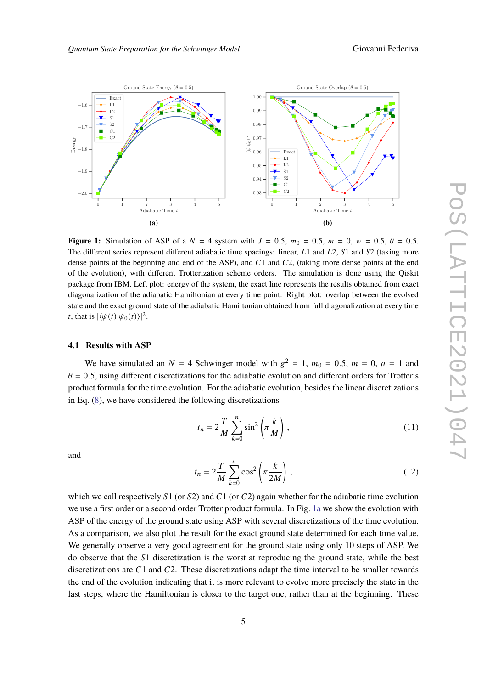

<span id="page-4-0"></span>

**Figure 1:** Simulation of ASP of a  $N = 4$  system with  $J = 0.5$ ,  $m_0 = 0.5$ ,  $m = 0$ ,  $w = 0.5$ ,  $\theta = 0.5$ . The different series represent different adiabatic time spacings: linear,  $L1$  and  $L2$ ,  $S1$  and  $S2$  (taking more dense points at the beginning and end of the ASP), and  $C1$  and  $C2$ , (taking more dense points at the end of the evolution), with different Trotterization scheme orders. The simulation is done using the Qiskit package from IBM. Left plot: energy of the system, the exact line represents the results obtained from exact diagonalization of the adiabatic Hamiltonian at every time point. Right plot: overlap between the evolved state and the exact ground state of the adiabatic Hamiltonian obtained from full diagonalization at every time *t*, that is  $|\langle \psi(t) | \psi_0(t) \rangle|^2$ .

## **4.1 Results with ASP**

We have simulated an  $N = 4$  Schwinger model with  $g^2 = 1$ ,  $m_0 = 0.5$ ,  $m = 0$ ,  $a = 1$  and  $\theta = 0.5$ , using different discretizations for the adiabatic evolution and different orders for Trotter's product formula for the time evolution. For the adiabatic evolution, besides the linear discretizations in Eq. [\(8\)](#page-3-1), we have considered the following discretizations

$$
t_n = 2\frac{T}{M} \sum_{k=0}^{n} \sin^2\left(\pi \frac{k}{M}\right),\tag{11}
$$

and

$$
t_n = 2\frac{T}{M} \sum_{k=0}^{n} \cos^2\left(\pi \frac{k}{2M}\right),\tag{12}
$$

which we call respectively  $S1$  (or  $S2$ ) and  $C1$  (or  $C2$ ) again whether for the adiabatic time evolution we use a first order or a second order Trotter product formula. In Fig. [1a](#page-4-0) we show the evolution with ASP of the energy of the ground state using ASP with several discretizations of the time evolution. As a comparison, we also plot the result for the exact ground state determined for each time value. We generally observe a very good agreement for the ground state using only 10 steps of ASP. We do observe that the S1 discretization is the worst at reproducing the ground state, while the best discretizations are  $C1$  and  $C2$ . These discretizations adapt the time interval to be smaller towards the end of the evolution indicating that it is more relevant to evolve more precisely the state in the last steps, where the Hamiltonian is closer to the target one, rather than at the beginning. These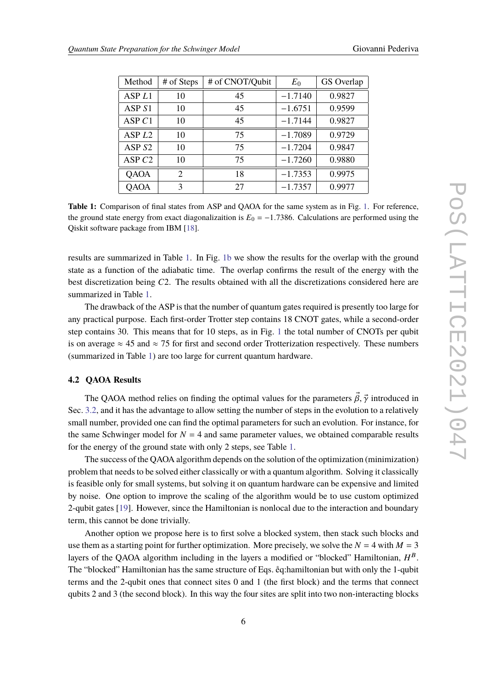<span id="page-5-0"></span>

| Method            | # of Steps     | # of CNOT/Qubit | $E_0$     | GS Overlap |
|-------------------|----------------|-----------------|-----------|------------|
| ASP <sub>L1</sub> | 10             | 45              | $-1.7140$ | 0.9827     |
| ASP <sub>S1</sub> | 10             | 45              | $-1.6751$ | 0.9599     |
| ASPC1             | 10             | 45              | $-1.7144$ | 0.9827     |
| ASP <sub>L2</sub> | 10             | 75              | $-1.7089$ | 0.9729     |
| ASP <sub>S2</sub> | 10             | 75              | $-1.7204$ | 0.9847     |
| ASP $C2$          | 10             | 75              | $-1.7260$ | 0.9880     |
| QAOA              | $\overline{2}$ | 18              | $-1.7353$ | 0.9975     |
| QAOA              | 3              | 27              | $-1.7357$ | 0.9977     |

**Table 1:** Comparison of final states from ASP and QAOA for the same system as in Fig. [1.](#page-4-0) For reference, the ground state energy from exact diagonalizaition is  $E_0 = -1.7386$ . Calculations are performed using the Qiskit software package from IBM [\[18\]](#page-8-3).

results are summarized in Table [1.](#page-5-0) In Fig. [1b](#page-4-0) we show the results for the overlap with the ground state as a function of the adiabatic time. The overlap confirms the result of the energy with the best discretization being C2. The results obtained with all the discretizations considered here are summarized in Table [1.](#page-5-0)

The drawback of the ASP is that the number of quantum gates required is presently too large for any practical purpose. Each first-order Trotter step contains 18 CNOT gates, while a second-order step contains 30. This means that for 10 steps, as in Fig. [1](#page-4-0) the total number of CNOTs per qubit is on average  $\approx$  45 and  $\approx$  75 for first and second order Trotterization respectively. These numbers (summarized in Table [1\)](#page-5-0) are too large for current quantum hardware.

## **4.2 QAOA Results**

The QAOA method relies on finding the optimal values for the parameters  $\vec{\beta}, \vec{\gamma}$  introduced in Sec. [3.2,](#page-3-2) and it has the advantage to allow setting the number of steps in the evolution to a relatively small number, provided one can find the optimal parameters for such an evolution. For instance, for the same Schwinger model for  $N = 4$  and same parameter values, we obtained comparable results for the energy of the ground state with only 2 steps, see Table [1.](#page-5-0)

The success of the QAOA algorithm depends on the solution of the optimization (minimization) problem that needs to be solved either classically or with a quantum algorithm. Solving it classically is feasible only for small systems, but solving it on quantum hardware can be expensive and limited by noise. One option to improve the scaling of the algorithm would be to use custom optimized 2-qubit gates [\[19\]](#page-8-4). However, since the Hamiltonian is nonlocal due to the interaction and boundary term, this cannot be done trivially.

Another option we propose here is to first solve a blocked system, then stack such blocks and use them as a starting point for further optimization. More precisely, we solve the  $N = 4$  with  $M = 3$ layers of the QAOA algorithm including in the layers a modified or "blocked" Hamiltonian,  $H^B$ . The "blocked" Hamiltonian has the same structure of Eqs. eq:hamiltonian but with only the 1-qubit terms and the 2-qubit ones that connect sites 0 and 1 (the first block) and the terms that connect qubits 2 and 3 (the second block). In this way the four sites are split into two non-interacting blocks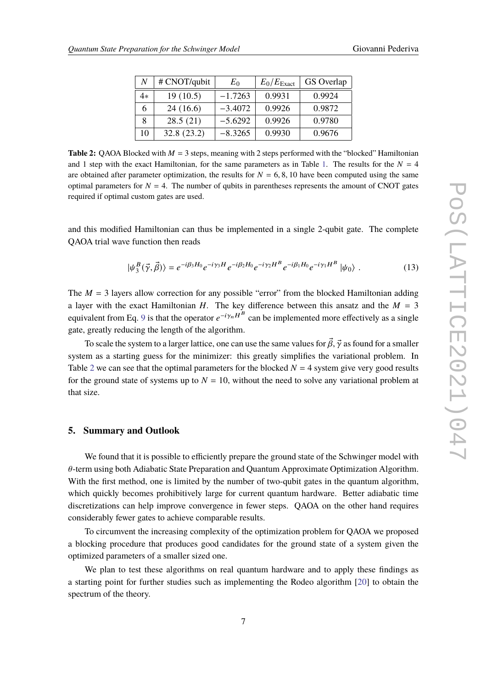<span id="page-6-0"></span>

| N  | # CNOT/qubit | $E_0$     | $E_0/E_{\text{Exact}}$ | GS Overlap |
|----|--------------|-----------|------------------------|------------|
| 4* | 19(10.5)     | $-1.7263$ | 0.9931                 | 0.9924     |
| 6  | 24(16.6)     | $-3.4072$ | 0.9926                 | 0.9872     |
|    | 28.5(21)     | $-5.6292$ | 0.9926                 | 0.9780     |
| 10 | 32.8(23.2)   | $-8.3265$ | 0.9930                 | 0.9676     |

**Table 2:** QAOA Blocked with  $M = 3$  steps, meaning with 2 steps performed with the "blocked" Hamiltonian and 1 step with the exact Hamiltonian, for the same parameters as in Table [1.](#page-5-0) The results for the  $N = 4$ are obtained after parameter optimization, the results for  $N = 6, 8, 10$  have been computed using the same optimal parameters for  $N = 4$ . The number of qubits in parentheses represents the amount of CNOT gates required if optimal custom gates are used.

and this modified Hamiltonian can thus be implemented in a single 2-qubit gate. The complete QAOA trial wave function then reads

$$
|\psi_3^B(\vec{\gamma}, \vec{\beta})\rangle = e^{-i\beta_3 H_0} e^{-i\gamma_3 H} e^{-i\beta_2 H_0} e^{-i\gamma_2 H^B} e^{-i\beta_1 H_0} e^{-i\gamma_1 H^B} |\psi_0\rangle. \tag{13}
$$

The  $M = 3$  layers allow correction for any possible "error" from the blocked Hamiltonian adding a layer with the exact Hamiltonian  $H$ . The key difference between this ansatz and the  $M = 3$ equivalent from Eq. [9](#page-3-3) is that the operator  $e^{-i\gamma_n H^B}$  can be implemented more effectively as a single gate, greatly reducing the length of the algorithm.

To scale the system to a larger lattice, one can use the same values for  $\vec{\beta}$ ,  $\vec{\gamma}$  as found for a smaller system as a starting guess for the minimizer: this greatly simplifies the variational problem. In Table [2](#page-6-0) we can see that the optimal parameters for the blocked  $N = 4$  system give very good results for the ground state of systems up to  $N = 10$ , without the need to solve any variational problem at that size.

#### **5. Summary and Outlook**

We found that it is possible to efficiently prepare the ground state of the Schwinger model with  $\theta$ -term using both Adiabatic State Preparation and Quantum Approximate Optimization Algorithm. With the first method, one is limited by the number of two-qubit gates in the quantum algorithm, which quickly becomes prohibitively large for current quantum hardware. Better adiabatic time discretizations can help improve convergence in fewer steps. QAOA on the other hand requires considerably fewer gates to achieve comparable results.

To circumvent the increasing complexity of the optimization problem for QAOA we proposed a blocking procedure that produces good candidates for the ground state of a system given the optimized parameters of a smaller sized one.

We plan to test these algorithms on real quantum hardware and to apply these findings as a starting point for further studies such as implementing the Rodeo algorithm [\[20\]](#page-8-5) to obtain the spectrum of the theory.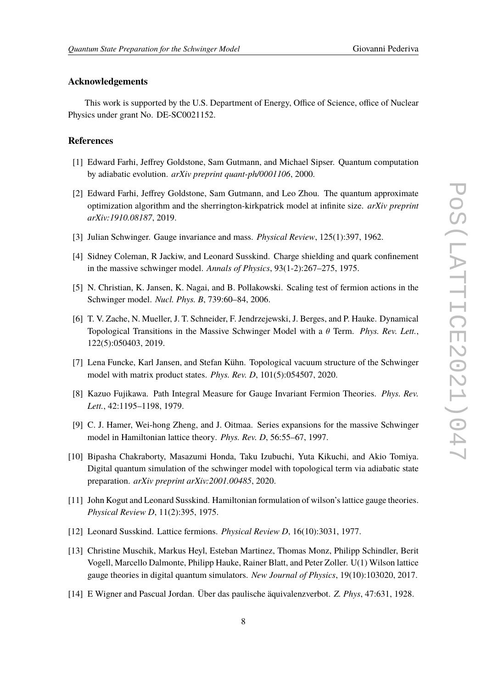## **Acknowledgements**

This work is supported by the U.S. Department of Energy, Office of Science, office of Nuclear Physics under grant No. DE-SC0021152.

## **References**

- <span id="page-7-0"></span>[1] Edward Farhi, Jeffrey Goldstone, Sam Gutmann, and Michael Sipser. Quantum computation by adiabatic evolution. *arXiv preprint quant-ph/0001106*, 2000.
- <span id="page-7-1"></span>[2] Edward Farhi, Jeffrey Goldstone, Sam Gutmann, and Leo Zhou. The quantum approximate optimization algorithm and the sherrington-kirkpatrick model at infinite size. *arXiv preprint arXiv:1910.08187*, 2019.
- <span id="page-7-2"></span>[3] Julian Schwinger. Gauge invariance and mass. *Physical Review*, 125(1):397, 1962.
- <span id="page-7-3"></span>[4] Sidney Coleman, R Jackiw, and Leonard Susskind. Charge shielding and quark confinement in the massive schwinger model. *Annals of Physics*, 93(1-2):267–275, 1975.
- <span id="page-7-4"></span>[5] N. Christian, K. Jansen, K. Nagai, and B. Pollakowski. Scaling test of fermion actions in the Schwinger model. *Nucl. Phys. B*, 739:60–84, 2006.
- <span id="page-7-5"></span>[6] T. V. Zache, N. Mueller, J. T. Schneider, F. Jendrzejewski, J. Berges, and P. Hauke. Dynamical Topological Transitions in the Massive Schwinger Model with a  $\theta$  Term. *Phys. Rev. Lett.*, 122(5):050403, 2019.
- <span id="page-7-6"></span>[7] Lena Funcke, Karl Jansen, and Stefan Kühn. Topological vacuum structure of the Schwinger model with matrix product states. *Phys. Rev. D*, 101(5):054507, 2020.
- <span id="page-7-7"></span>[8] Kazuo Fujikawa. Path Integral Measure for Gauge Invariant Fermion Theories. *Phys. Rev. Lett.*, 42:1195–1198, 1979.
- <span id="page-7-8"></span>[9] C. J. Hamer, Wei-hong Zheng, and J. Oitmaa. Series expansions for the massive Schwinger model in Hamiltonian lattice theory. *Phys. Rev. D*, 56:55–67, 1997.
- <span id="page-7-9"></span>[10] Bipasha Chakraborty, Masazumi Honda, Taku Izubuchi, Yuta Kikuchi, and Akio Tomiya. Digital quantum simulation of the schwinger model with topological term via adiabatic state preparation. *arXiv preprint arXiv:2001.00485*, 2020.
- <span id="page-7-10"></span>[11] John Kogut and Leonard Susskind. Hamiltonian formulation of wilson's lattice gauge theories. *Physical Review D*, 11(2):395, 1975.
- <span id="page-7-11"></span>[12] Leonard Susskind. Lattice fermions. *Physical Review D*, 16(10):3031, 1977.
- <span id="page-7-12"></span>[13] Christine Muschik, Markus Heyl, Esteban Martinez, Thomas Monz, Philipp Schindler, Berit Vogell, Marcello Dalmonte, Philipp Hauke, Rainer Blatt, and Peter Zoller. U(1) Wilson lattice gauge theories in digital quantum simulators. *New Journal of Physics*, 19(10):103020, 2017.
- <span id="page-7-13"></span>[14] E Wigner and Pascual Jordan. Über das paulische äquivalenzverbot. *Z. Phys*, 47:631, 1928.